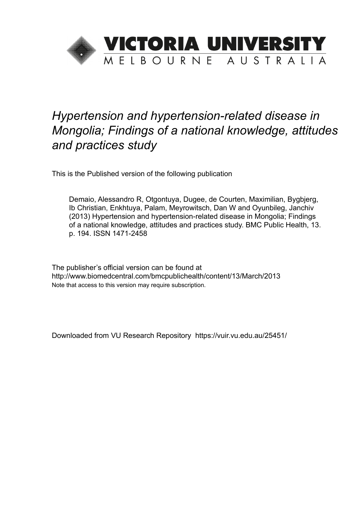

## *Hypertension and hypertension-related disease in Mongolia; Findings of a national knowledge, attitudes and practices study*

This is the Published version of the following publication

Demaio, Alessandro R, Otgontuya, Dugee, de Courten, Maximilian, Bygbjerg, Ib Christian, Enkhtuya, Palam, Meyrowitsch, Dan W and Oyunbileg, Janchiv (2013) Hypertension and hypertension-related disease in Mongolia; Findings of a national knowledge, attitudes and practices study. BMC Public Health, 13. p. 194. ISSN 1471-2458

The publisher's official version can be found at http://www.biomedcentral.com/bmcpublichealth/content/13/March/2013 Note that access to this version may require subscription.

Downloaded from VU Research Repository https://vuir.vu.edu.au/25451/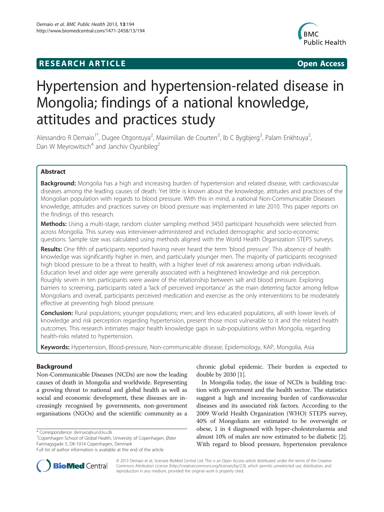## **RESEARCH ARTICLE Example 2014 12:30 The SEAR CHIPS 2014 12:30 The SEAR CHIPS 2014 12:30 The SEAR CHIPS 2014 12:30 The SEAR CHIPS 2014 12:30 The SEAR CHIPS 2014 12:30 THE SEARCH ARTICLE**



# Hypertension and hypertension-related disease in Mongolia; findings of a national knowledge, attitudes and practices study

Alessandro R Demaio<sup>1\*</sup>, Dugee Otgontuya<sup>2</sup>, Maximilian de Courten<sup>3</sup>, Ib C Bygbjerg<sup>3</sup>, Palam Enkhtuya<sup>2</sup> , Dan W Meyrowitsch<sup>4</sup> and Janchiv Oyunbileg<sup>2</sup>

## Abstract

Background: Mongolia has a high and increasing burden of hypertension and related disease, with cardiovascular diseases among the leading causes of death. Yet little is known about the knowledge, attitudes and practices of the Mongolian population with regards to blood pressure. With this in mind, a national Non-Communicable Diseases knowledge, attitudes and practices survey on blood pressure was implemented in late 2010. This paper reports on the findings of this research.

Methods: Using a multi-stage, random cluster sampling method 3450 participant households were selected from across Mongolia. This survey was interviewer-administered and included demographic and socio-economic questions. Sample size was calculated using methods aligned with the World Health Organization STEPS surveys.

Results: One fifth of participants reported having never heard the term 'blood pressure'. This absence of health knowledge was significantly higher in men, and particularly younger men. The majority of participants recognised high blood pressure to be a threat to health, with a higher level of risk awareness among urban individuals. Education level and older age were generally associated with a heightened knowledge and risk perception. Roughly seven in ten participants were aware of the relationship between salt and blood pressure. Exploring barriers to screening, participants rated a 'lack of perceived importance' as the main deterring factor among fellow Mongolians and overall, participants perceived medication and exercise as the only interventions to be moderately effective at preventing high blood pressure.

**Conclusion:** Rural populations; younger populations; men; and less educated populations, all with lower levels of knowledge and risk perception regarding hypertension, present those most vulnerable to it and the related health outcomes. This research intimates major health knowledge gaps in sub-populations within Mongolia, regarding health-risks related to hypertension.

Keywords: Hypertension, Blood-pressure, Non-communicable disease, Epidemiology, KAP, Mongolia, Asia

## Background

Non-Communicable Diseases (NCDs) are now the leading causes of death in Mongolia and worldwide. Representing a growing threat to national and global health as well as social and economic development, these diseases are increasingly recognised by governments, non-government organisations (NGOs) and the scientific community as a



In Mongolia today, the issue of NCDs is building traction with government and the health sector. The statistics suggest a high and increasing burden of cardiovascular diseases and its associated risk factors. According to the 2009 World Health Organization (WHO) STEPS survey, 40% of Mongolians are estimated to be overweight or obese, 1 in 4 diagnosed with hyper-cholesterolaemia and almost 10% of males are now estimated to be diabetic [[2](#page-9-0)]. With regard to blood pressure, hypertension prevalence



© 2013 Demaio et al.; licensee BioMed Central Ltd. This is an Open Access article distributed under the terms of the Creative Commons Attribution License [\(http://creativecommons.org/licenses/by/2.0\)](http://creativecommons.org/licenses/by/2.0), which permits unrestricted use, distribution, and reproduction in any medium, provided the original work is properly cited.

<sup>\*</sup> Correspondence: [demaio@sund.ku.dk](mailto:demaio@sund.ku.dk) <sup>1</sup>

<sup>&</sup>lt;sup>1</sup>Copenhagen School of Global Health, University of Copenhagen, Øster Farimagsgade 5, DK-1014 Copenhagen, Denmark

Full list of author information is available at the end of the article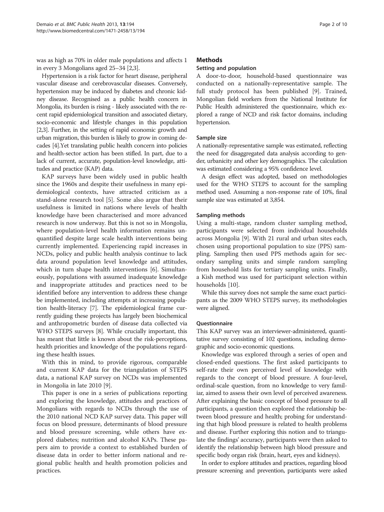was as high as 70% in older male populations and affects 1 in every 3 Mongolians aged 25–34 [\[2,3\]](#page-9-0).

Hypertension is a risk factor for heart disease, peripheral vascular disease and cerebrovascular diseases. Conversely, hypertension may be induced by diabetes and chronic kidney disease. Recognised as a public health concern in Mongolia, its burden is rising - likely associated with the recent rapid epidemiological transition and associated dietary, socio-economic and lifestyle changes in this population [[2,3](#page-9-0)]. Further, in the setting of rapid economic growth and urban migration, this burden is likely to grow in coming decades [\[4\]](#page-9-0).Yet translating public health concern into policies and health-sector action has been stifled. In part, due to a lack of current, accurate, population-level knowledge, attitudes and practice (KAP) data.

KAP surveys have been widely used in public health since the 1960s and despite their usefulness in many epidemiological contexts, have attracted criticism as a stand-alone research tool [[5](#page-9-0)]. Some also argue that their usefulness is limited in nations where levels of health knowledge have been characterised and more advanced research is now underway. But this is not so in Mongolia, where population-level health information remains unquantified despite large scale health interventions being currently implemented. Experiencing rapid increases in NCDs, policy and public health analysis continue to lack data around population level knowledge and attitudes, which in turn shape health interventions [\[6](#page-9-0)]. Simultaneously, populations with assumed inadequate knowledge and inappropriate attitudes and practices need to be identified before any intervention to address these change be implemented, including attempts at increasing population health-literacy [[7](#page-9-0)]. The epidemiological frame currently guiding these projects has largely been biochemical and anthropometric burden of disease data collected via WHO STEPS surveys [[8\]](#page-9-0). While crucially important, this has meant that little is known about the risk-perceptions, health priorities and knowledge of the populations regarding these health issues.

With this in mind, to provide rigorous, comparable and current KAP data for the triangulation of STEPS data, a national KAP survey on NCDs was implemented in Mongolia in late 2010 [[9\]](#page-9-0).

This paper is one in a series of publications reporting and exploring the knowledge, attitudes and practices of Mongolians with regards to NCDs through the use of the 2010 national NCD KAP survey data. This paper will focus on blood pressure, determinants of blood pressure and blood pressure screening, while others have explored diabetes; nutrition and alcohol KAPs. These papers aim to provide a context to established burden of disease data in order to better inform national and regional public health and health promotion policies and practices.

## **Methods**

### Setting and population

A door-to-door, household-based questionnaire was conducted on a nationally-representative sample. The full study protocol has been published [[9\]](#page-9-0). Trained, Mongolian field workers from the National Institute for Public Health administered the questionnaire, which explored a range of NCD and risk factor domains, including hypertension.

## Sample size

A nationally-representative sample was estimated, reflecting the need for disaggregated data analysis according to gender, urbanicity and other key demographics. The calculation was estimated considering a 95% confidence level.

A design effect was adopted, based on methodologies used for the WHO STEPS to account for the sampling method used. Assuming a non-response rate of 10%, final sample size was estimated at 3,854.

## Sampling methods

Using a multi-stage, random cluster sampling method, participants were selected from individual households across Mongolia [\[9](#page-9-0)]. With 21 rural and urban sites each, chosen using proportional population to size (PPS) sampling. Sampling then used PPS methods again for secondary sampling units and simple random sampling from household lists for tertiary sampling units. Finally, a Kish method was used for participant selection within households [[10\]](#page-9-0).

While this survey does not sample the same exact participants as the 2009 WHO STEPS survey, its methodologies were aligned.

### Questionnaire

This KAP survey was an interviewer-administered, quantitative survey consisting of 102 questions, including demographic and socio-economic questions.

Knowledge was explored through a series of open and closed-ended questions. The first asked participants to self-rate their own perceived level of knowledge with regards to the concept of blood pressure. A four-level, ordinal-scale question, from no knowledge to very familiar, aimed to assess their own level of perceived awareness. After explaining the basic concept of blood pressure to all participants, a question then explored the relationship between blood pressure and health; probing for understanding that high blood pressure is related to health problems and disease. Further exploring this notion and to triangulate the findings' accuracy, participants were then asked to identify the relationship between high blood pressure and specific body organ risk (brain, heart, eyes and kidneys).

In order to explore attitudes and practices, regarding blood pressure screening and prevention, participants were asked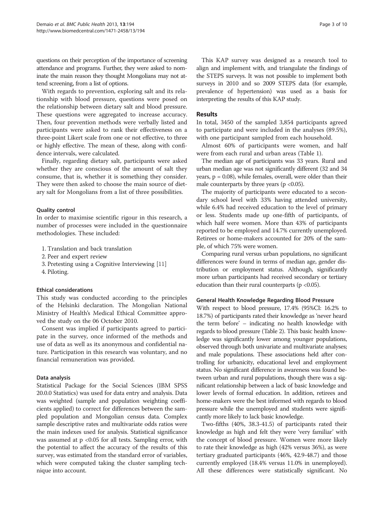questions on their perception of the importance of screening attendance and programs. Further, they were asked to nominate the main reason they thought Mongolians may not attend screening, from a list of options.

With regards to prevention, exploring salt and its relationship with blood pressure, questions were posed on the relationship between dietary salt and blood pressure. These questions were aggregated to increase accuracy. Then, four prevention methods were verbally listed and participants were asked to rank their effectiveness on a three-point Likert scale from one or not effective, to three or highly effective. The mean of these, along with confidence intervals, were calculated.

Finally, regarding dietary salt, participants were asked whether they are conscious of the amount of salt they consume, that is, whether it is something they consider. They were then asked to choose the main source of dietary salt for Mongolians from a list of three possibilities.

### Quality control

In order to maximise scientific rigour in this research, a number of processes were included in the questionnaire methodologies. These included:

- 1. Translation and back translation
- 2. Peer and expert review
- 3. Pretesting using a Cognitive Interviewing [[11](#page-10-0)]
- 4. Piloting.

## Ethical considerations

This study was conducted according to the principles of the Helsinki declaration. The Mongolian National Ministry of Health's Medical Ethical Committee approved the study on the 06 October 2010.

Consent was implied if participants agreed to participate in the survey, once informed of the methods and use of data as well as its anonymous and confidential nature. Participation in this research was voluntary, and no financial remuneration was provided.

### Data analysis

Statistical Package for the Social Sciences (IBM SPSS 20.0.0 Statistics) was used for data entry and analysis. Data was weighted (sample and population weighting coefficients applied) to correct for differences between the sampled population and Mongolian census data. Complex sample descriptive rates and multivariate odds ratios were the main indexes used for analysis. Statistical significance was assumed at  $p < 0.05$  for all tests. Sampling error, with the potential to affect the accuracy of the results of this survey, was estimated from the standard error of variables, which were computed taking the cluster sampling technique into account.

This KAP survey was designed as a research tool to align and implement with, and triangulate the findings of the STEPS surveys. It was not possible to implement both surveys in 2010 and so 2009 STEPS data (for example, prevalence of hypertension) was used as a basis for interpreting the results of this KAP study.

## Results

In total, 3450 of the sampled 3,854 participants agreed to participate and were included in the analyses (89.5%), with one participant sampled from each household.

Almost 60% of participants were women, and half were from each rural and urban areas (Table [1\)](#page-4-0).

The median age of participants was 33 years. Rural and urban median age was not significantly different (32 and 34 years,  $p = 0.08$ ), while females, overall, were older than their male counterparts by three years ( $p < 0.05$ ).

The majority of participants were educated to a secondary school level with 33% having attended university, while 6.4% had received education to the level of primary or less. Students made up one-fifth of participants, of which half were women. More than 43% of participants reported to be employed and 14.7% currently unemployed. Retirees or home-makers accounted for 20% of the sample, of which 75% were women.

Comparing rural versus urban populations, no significant differences were found in terms of median age, gender distribution or employment status. Although, significantly more urban participants had received secondary or tertiary education than their rural counterparts ( $p < 0.05$ ).

## General Health Knowledge Regarding Blood Pressure

With respect to blood pressure, 17.4% (95%CI: 16.2% to 18.7%) of participants rated their knowledge as 'never heard the term before' – indicating no health knowledge with regards to blood pressure (Table [2\)](#page-5-0). This basic health knowledge was significantly lower among younger populations, observed through both univariate and multivariate analyses; and male populations. These associations held after controlling for urbanicity, educational level and employment status. No significant difference in awareness was found between urban and rural populations, though there was a significant relationship between a lack of basic knowledge and lower levels of formal education. In addition, retirees and home-makers were the best informed with regards to blood pressure while the unemployed and students were significantly more likely to lack basic knowledge.

Two-fifths (40%, 38.3-41.5) of participants rated their knowledge as high and felt they were 'very familiar' with the concept of blood pressure. Women were more likely to rate their knowledge as high (42% versus 36%), as were tertiary graduated participants (46%, 42.9-48.7) and those currently employed (18.4% versus 11.0% in unemployed). All these differences were statistically significant. No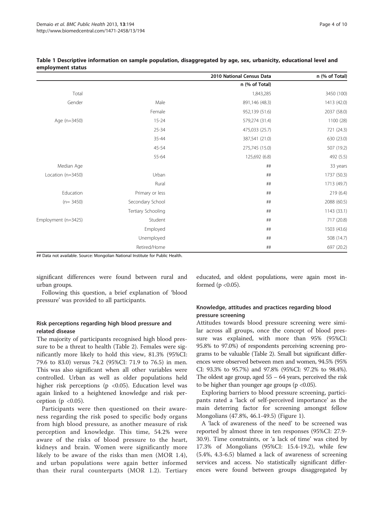|                       |                    | 2010 National Census Data | n (% of Total) |
|-----------------------|--------------------|---------------------------|----------------|
|                       |                    | n (% of Total)            |                |
| Total                 |                    | 1,843,285                 | 3450 (100)     |
| Gender                | Male               | 891,146 (48.3)            | 1413 (42.0)    |
|                       | Female             | 952,139 (51.6)            | 2037 (58.0)    |
| Age (n=3450)          | $15 - 24$          | 579,274 (31.4)            | 1100 (28)      |
|                       | $25 - 34$          | 475,033 (25.7)            | 721 (24.3)     |
|                       | 35-44              | 387,541 (21.0)            | 630 (23.0)     |
|                       | 45-54              | 275,745 (15.0)            | 507 (19.2)     |
|                       | 55-64              | 125,692 (6.8)             | 492 (5.5)      |
| Median Age            |                    | ##                        | 33 years       |
| Location ( $n=3450$ ) | Urban              | ##                        | 1737 (50.3)    |
|                       | Rural              | ##                        | 1713 (49.7)    |
| Education             | Primary or less    | ##                        | 219 (6.4)      |
| $(n=3450)$            | Secondary School   | ##                        | 2088 (60.5)    |
|                       | Tertiary Schooling | ##                        | 1143 (33.1)    |
| Employment (n=3425)   | Student            | ##                        | 717 (20.8)     |
|                       | Employed           | ##                        | 1503 (43.6)    |
|                       | Unemployed         | ##                        | 508 (14.7)     |
|                       | Retired/Home       | ##                        | 697 (20.2)     |

### <span id="page-4-0"></span>Table 1 Descriptive information on sample population, disaggregated by age, sex, urbanicity, educational level and employment status

## Data not available. Source: Mongolian National Institute for Public Health.

significant differences were found between rural and urban groups.

Following this question, a brief explanation of 'blood pressure' was provided to all participants.

## Risk perceptions regarding high blood pressure and related disease

The majority of participants recognised high blood pressure to be a threat to health (Table [2\)](#page-5-0). Females were significantly more likely to hold this view, 81.3% (95%CI: 79.6 to 83.0) versus 74.2 (95%CI: 71.9 to 76.5) in men. This was also significant when all other variables were controlled. Urban as well as older populations held higher risk perceptions (p <0.05). Education level was again linked to a heightened knowledge and risk perception ( $p < 0.05$ ).

Participants were then questioned on their awareness regarding the risk posed to specific body organs from high blood pressure, as another measure of risk perception and knowledge. This time, 54.2% were aware of the risks of blood pressure to the heart, kidneys and brain. Women were significantly more likely to be aware of the risks than men (MOR 1.4), and urban populations were again better informed than their rural counterparts (MOR 1.2). Tertiary

educated, and oldest populations, were again most informed ( $p < 0.05$ ).

## Knowledge, attitudes and practices regarding blood pressure screening

Attitudes towards blood pressure screening were similar across all groups, once the concept of blood pressure was explained, with more than 95% (95%CI: 95.8% to 97.0%) of respondents perceiving screening programs to be valuable (Table [2](#page-5-0)). Small but significant differences were observed between men and women, 94.5% (95% CI: 93.3% to 95.7%) and 97.8% (95%CI: 97.2% to 98.4%). The oldest age group, aged  $55 - 64$  years, perceived the risk to be higher than younger age groups (p <0.05).

Exploring barriers to blood pressure screening, participants rated a 'lack of self-perceived importance' as the main deterring factor for screening amongst fellow Mongolians (47.8%, 46.1-49.5) (Figure [1](#page-6-0)).

A 'lack of awareness of the need' to be screened was reported by almost three in ten responses (95%CI: 27.9- 30.9). Time constraints, or 'a lack of time' was cited by 17.3% of Mongolians (95%CI: 15.4-19.2), while few (5.4%, 4.3-6.5) blamed a lack of awareness of screening services and access. No statistically significant differences were found between groups disaggregated by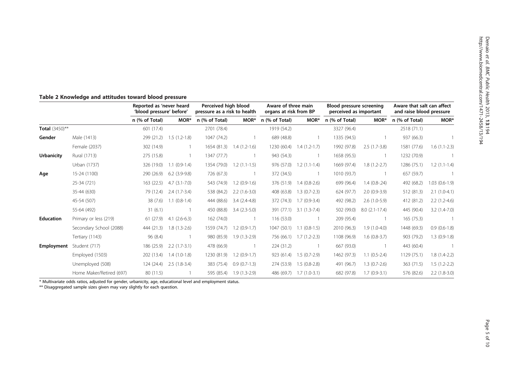|                          |                          | Reported as 'never heard<br>'blood pressure' before' |                 | Perceived high blood<br>pressure as a risk to health |                          | Aware of three main<br>organs at risk from BP |                          | Blood pressure screening<br>perceived as important |                 | Aware that salt can affect<br>and raise blood pressure |                 |
|--------------------------|--------------------------|------------------------------------------------------|-----------------|------------------------------------------------------|--------------------------|-----------------------------------------------|--------------------------|----------------------------------------------------|-----------------|--------------------------------------------------------|-----------------|
|                          |                          | n (% of Total)                                       | $MOR*$          | n (% of Total)                                       | $MOR*$                   | n (% of Total)                                | $MOR*$                   | n (% of Total)                                     | $MOR*$          | n (% of Total)                                         | $MOR*$          |
| <b>Total</b> $(3450)$ ** |                          | 601 (17.4)                                           |                 | 2701 (78.4)                                          |                          | 1919 (54.2)                                   |                          | 3327 (96.4)                                        |                 | 2518 (71.1)                                            |                 |
| Gender                   | Male (1413)              | 299 (21.2)                                           | $1.5(1.2-1.8)$  | 1047 (74.2)                                          |                          | 689 (48.8)                                    |                          | 1335 (94.5)                                        |                 | 937 (66.3)                                             |                 |
|                          | Female (2037)            | 302 (14.9)                                           |                 | 1654 (81.3)                                          | $1.4(1.2-1.6)$           | 1230 (60.4)                                   | $1.4(1.2-1.7)$           | 1992 (97.8)                                        | $2.5(1.7-3.8)$  | 1581 (77.6)                                            | $1.6(1.1-2.3)$  |
| <b>Urbanicity</b>        | Rural (1713)             | 275 (15.8)                                           |                 | 1347 (77.7)                                          |                          | 943 (54.3)                                    |                          | 1658 (95.5)                                        |                 | 1232 (70.9)                                            |                 |
|                          | Urban (1737)             | 326 (19.0)                                           | $1.1(0.9-1.4)$  | 1354 (79.0)                                          | $1.2(1.1-1.5)$           | 976 (57.0)                                    | $1.2(1.1-1.4)$           | 1669 (97.4)                                        | $1.8(1.2-2.7)$  | 1286 (75.1)                                            | $1.2(1.1-1.4)$  |
| Age                      | 15-24 (1100)             | 290 (26.9)                                           | $6.2$ (3.9-9.8) | 726 (67.3)                                           |                          | 372 (34.5)                                    |                          | 1010 (93.7)                                        |                 | 657 (59.7)                                             |                 |
|                          | 25-34 (721)              | 163(22.5)                                            | $4.7(3.1-7.0)$  | 543 (74.9)                                           | $1.2(0.9-1.6)$           | 376 (51.9)                                    | $1.4(0.8-2.6)$           | 699 (96.4)                                         | $1.4(0.8-0.24)$ | 492 (68.2)                                             | $1.03(0.6-1.9)$ |
|                          | 35-44 (630)              | 79 (12.4)                                            | $2.4(1.7-3.4)$  | 538 (84.2)                                           | $2.2(1.6-3.0)$           | 408 (63.8)                                    | $1.3(0.7-2.3)$           | 624 (97.7)                                         | $2.0(0.9-3.9)$  | 512 (81.3)                                             | $2.1(1.0-4.1)$  |
|                          | 45-54 (507)              | 38(7.6)                                              | $1.1(0.8-1.4)$  | 444 (88.6)                                           | $3.4(2.4-4.8)$           | 372 (74.3)                                    | $1.7(0.9-3.4)$           | 492 (98.2)                                         | $2.6(1.0-5.9)$  | 412 (81.2)                                             | $2.2(1.2-4.6)$  |
|                          | 55-64 (492)              | 31(6.1)                                              |                 | 450 (88.8)                                           | $3.4(2.3-5.0)$           | 391 (77.1)                                    | $3.1(1.3-7.4)$           | 502 (99.0)                                         | $8.0(2.1-17.4)$ | 445 (90.4)                                             | $3.2(1.4-7.0)$  |
| <b>Education</b>         | Primary or less (219)    | 61(27.9)                                             | $4.1(2.6-6.3)$  | 162(74.0)                                            |                          | 116(53.0)                                     |                          | 209 (95.4)                                         |                 | 165(75.3)                                              |                 |
|                          | Secondary School (2088)  | 444 (21.3)                                           | $1.8(1.3-2.6)$  | 1559 (74.7)                                          | $1.2(0.9-1.7)$           | 1047 (50.1)                                   | $1.1(0.8-1.5)$           | 2010 (96.3)                                        | $1.9(1.0-4.0)$  | 1448 (69.3)                                            | $0.9(0.6-1.8)$  |
|                          | Tertiary (1143)          | 96 (8.4)                                             |                 | 980 (85.9)                                           | $1.9(1.3-2.9)$           | 756 (66.1)                                    | $1.7(1.2-2.3)$           | 1108 (96.9)                                        | $1.6(0.8-3.7)$  | 903 (79.2)                                             | $1.3(0.9-1.8)$  |
| Employment               | Student (717)            | 186 (25.9)                                           | $2.2(1.7-3.1)$  | 478 (66.9)                                           |                          | 224(31.2)                                     |                          | 667 (93.0)                                         |                 | 443 (60.4)                                             |                 |
|                          | Employed (1503)          | 202 (13.4)                                           | $1.4(1.0-1.8)$  | 1230 (81.9)                                          | $1.2(0.9-1.7)$           | 923 (61.4)                                    | $1.5(0.7-2.9)$           | 1462 (97.3)                                        | $1.1(0.5-2.4)$  | 1129 (75.1)                                            | $1.8(1.4-2.2)$  |
|                          | Unemployed (508)         | 124(24.4)                                            | $2.5(1.8-3.4)$  | 383 (75.4)                                           | $0.9(0.7-1.3)$           | 274 (53.9)                                    | $1.5(0.8-2.8)$           | 491 (96.7)                                         | $1.3(0.7-2.6)$  | 363 (71.5)                                             | $1.5(1.2-2.2)$  |
|                          | Home Maker/Retired (697) | 80 (11.5)                                            |                 |                                                      | 595 (85.4) 1.9 (1.3-2.9) |                                               | 486 (69.7) 1.7 (1.0-3.1) | 682 (97.8)                                         | $1.7(0.9-3.1)$  | 576 (82.6)                                             | $2.2(1.8-3.0)$  |

## <span id="page-5-0"></span>Table 2 Knowledge and attitudes toward blood pressure

\* Multivariate odds ratios, adjusted for gender, urbanicity, age, educational level and employment status. \*\* Disaggregated sample sizes given may vary slightly for each question.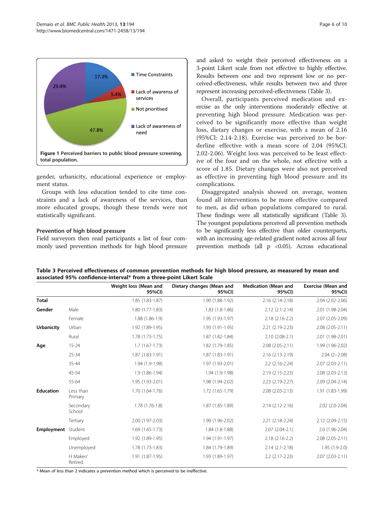<span id="page-6-0"></span>

gender, urbanicity, educational experience or employment status.

Groups with less education tended to cite time constraints and a lack of awareness of the services, than more educated groups, though these trends were not statistically significant.

## Prevention of high blood pressure

Field surveyors then read participants a list of four commonly used prevention methods for high blood pressure and asked to weight their perceived effectiveness on a 3-point Likert scale from not effective to highly effective. Results between one and two represent low or no perceived-effectiveness, while results between two and three represent increasing perceived-effectiveness (Table 3).

Overall, participants perceived medication and exercise as the only interventions moderately effective at preventing high blood pressure. Medication was perceived to be significantly more effective than weight loss, dietary changes or exercise, with a mean of 2.16 (95%CI: 2.14-2.18). Exercise was perceived to be borderline effective with a mean score of 2.04 (95%CI: 2.02-2.06). Weight loss was perceived to be least effective of the four and on the whole, not effective with a score of 1.85. Dietary changes were also not perceived as effective in preventing high blood pressure and its complications.

Disaggregated analysis showed on average, women found all interventions to be more effective compared to men, as did urban populations compared to rural. These findings were all statistically significant (Table 3). The youngest populations perceived all prevention methods to be significantly less effective than older counterparts, with an increasing age-related gradient noted across all four prevention methods (all p <0.05). Across educational

Table 3 Perceived effectiveness of common prevention methods for high blood pressure, as measured by mean and associated 95% confidence-interval\* from a three-point Likert Scale

|                           |                      | Weight loss (Mean and<br>95%CI) | Dietary changes (Mean and<br>95%CI) | <b>Medication (Mean and</b><br>95%CI) | <b>Exercise (Mean and</b><br>95%CI) |
|---------------------------|----------------------|---------------------------------|-------------------------------------|---------------------------------------|-------------------------------------|
| <b>Total</b>              |                      | 1.85 (1.83-1.87)                | 1.90 (1.88-1.92)                    | 2.16 (2.14-2.18)                      | 2.04 (2.02-2.06)                    |
| Gender                    | Male                 | 1.80 (1.77-1.83)                | 1.83 (1.8-1.86)                     | $2.12(2.1 - 2.14)$                    | 2.01 (1.98-2.04)                    |
|                           | Female               | $1.88(1.86-1.9)$                | 1.95 (1.93-1.97)                    | $2.18(2.16-2.2)$                      | 2.07 (2.05-2.09)                    |
| <b>Urbanicity</b>         | Urban                | 1.92 (1.89-1.95)                | 1.93 (1.91-1.95)                    | 2.21 (2.19-2.23)                      | 2.08 (2.05-2.11)                    |
|                           | Rural                | 1.78 (1.73-1.75)                | 1.87 (1.82-1.84)                    | $2.10(2.08-2.1)$                      | 2.01 (1.98-2.01)                    |
| Age                       | $15 - 24$            | $1.7(1.67-1.73)$                | 1.82 (1.79-1.85)                    | 2.08 (2.05-2.11)                      | 1.99 (1.96-2.02)                    |
|                           | $25 - 34$            | 1.87 (1.83-1.91)                | 1.87 (1.83-1.91)                    | 2.16 (2.13-2.19)                      | $2.04(2 - 2.08)$                    |
|                           | 35-44                | 1.94 (1.9-1.98)                 | 1.97 (1.93-2.01)                    | $2.2$ (2.16-2.24)                     | 2.07 (2.03-2.11)                    |
|                           | 45-54                | 1.9 (1.86-1.94)                 | 1.94 (1.9-1.98)                     | 2.19 (2.15-2.23)                      | 2.08 (2.03-2.13)                    |
|                           | 55-64                | 1.95 (1.93-2.01)                | 1.98 (1.94-2.02)                    | 2.23 (2.19-2.27)                      | 2.09 (2.04-2.14)                    |
| <b>Education</b>          | Less than<br>Primary | 1.70 (1.64-1.76)                | 1.72 (1.65-1.79)                    | 2.08 (2.03-2.13)                      | 1.91 (1.83-1.99)                    |
|                           | Secondary<br>School  | 1.78 (1.76-1.8)                 | 1.87 (1.85-1.89)                    | $2.14(2.12 - 2.16)$                   | $2.02$ $(2.0-2.04)$                 |
|                           | Tertiary             | 2.00 (1.97-2.03)                | 1.99 (1.96-2.02)                    | 2.21 (2.18-2.24)                      | 2.12 (2.09-2.15)                    |
| <b>Employment</b> Student |                      | $1.69(1.65-1.73)$               | 1.84 (1.8-1.88)                     | $2.07(2.04-2.1)$                      | 2.0 (1.96-2.04)                     |
|                           | Employed             | 1.92 (1.89-1.95)                | 1.94 (1.91-1.97)                    | $2.18(2.16-2.2)$                      | 2.08 (2.05-2.11)                    |
|                           | Unemployed           | 1.78 (1.73-1.83)                | 1.84 (1.79-1.89)                    | $2.14(2.1 - 2.18)$                    | 1.95 (1.9-2.0)                      |
|                           | H Maker/<br>Retired  | 1.91 (1.87-1.95)                | 1.93 (1.89-1.97)                    | $2.2$ (2.17-2.23)                     | 2.07 (2.03-2.11)                    |

\* Mean of less than 2 indicates a prevention method which is perceived to be ineffective.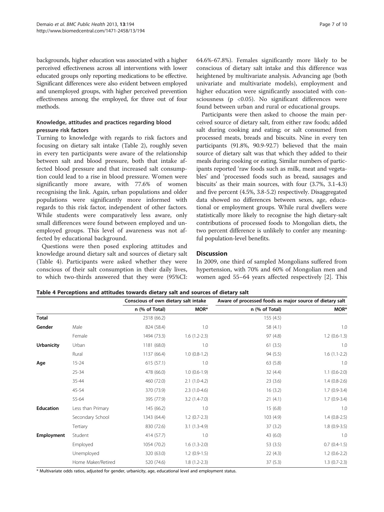backgrounds, higher education was associated with a higher perceived effectiveness across all interventions with lower educated groups only reporting medications to be effective. Significant differences were also evident between employed and unemployed groups, with higher perceived prevention effectiveness among the employed, for three out of four methods.

## Knowledge, attitudes and practices regarding blood pressure risk factors

Turning to knowledge with regards to risk factors and focusing on dietary salt intake (Table [2](#page-5-0)), roughly seven in every ten participants were aware of the relationship between salt and blood pressure, both that intake affected blood pressure and that increased salt consumption could lead to a rise in blood pressure. Women were significantly more aware, with 77.6% of women recognising the link. Again, urban populations and older populations were significantly more informed with regards to this risk factor, independent of other factors. While students were comparatively less aware, only small differences were found between employed and unemployed groups. This level of awareness was not affected by educational background.

Questions were then posed exploring attitudes and knowledge around dietary salt and sources of dietary salt (Table 4). Participants were asked whether they were conscious of their salt consumption in their daily lives, to which two-thirds answered that they were (95%CI: 64.6%-67.8%). Females significantly more likely to be conscious of dietary salt intake and this difference was heightened by multivariate analysis. Advancing age (both univariate and multivariate models), employment and higher education were significantly associated with consciousness ( $p \leq 0.05$ ). No significant differences were found between urban and rural or educational groups.

Participants were then asked to choose the main perceived source of dietary salt, from either raw foods; added salt during cooking and eating; or salt consumed from processed meats, breads and biscuits. Nine in every ten participants (91.8%, 90.9-92.7) believed that the main source of dietary salt was that which they added to their meals during cooking or eating. Similar numbers of participants reported 'raw foods such as milk, meat and vegetables' and 'processed foods such as bread, sausages and biscuits' as their main sources, with four (3.7%, 3.1-4.3) and five percent (4.5%, 3.8-5.2) respectively. Disaggregated data showed no differences between sexes, age, educational or employment groups. While rural dwellers were statistically more likely to recognise the high dietary-salt contributions of processed foods to Mongolian diets, the two percent difference is unlikely to confer any meaningful population-level benefits.

## **Discussion**

In 2009, one third of sampled Mongolians suffered from hypertension, with 70% and 60% of Mongolian men and women aged 55–64 years affected respectively [\[2](#page-9-0)]. This

|                   |                    | Conscious of own dietary salt intake |                | Aware of processed foods as major source of dietary salt |                |  |
|-------------------|--------------------|--------------------------------------|----------------|----------------------------------------------------------|----------------|--|
|                   |                    | n (% of Total)                       | MOR*           | n (% of Total)                                           | MOR*           |  |
| <b>Total</b>      |                    | 2318 (66.2)                          |                | 155(4.5)                                                 |                |  |
| Gender            | Male               | 824 (58.4)                           | 1.0            | 58 (4.1)                                                 | 1.0            |  |
|                   | Female             | 1494 (73.3)                          | $1.6(1.2-2.3)$ | 97(4.8)                                                  | $1.2(0.6-1.3)$ |  |
| <b>Urbanicity</b> | Urban              | 1181 (68.0)                          | 1.0            | 61(3.5)                                                  | 1.0            |  |
|                   | Rural              | 1137 (66.4)                          | $1.0(0.8-1.2)$ | 94 (5.5)                                                 | $1.6(1.1-2.2)$ |  |
| Age               | $15 - 24$          | 615(57.1)                            | 1.0            | 63(5.8)                                                  | 1.0            |  |
|                   | $25 - 34$          | 478 (66.0)                           | $1.0(0.6-1.9)$ | 32(4.4)                                                  | $1.1(0.6-2.0)$ |  |
|                   | 35-44              | 460 (72.0)                           | $2.1(1.0-4.2)$ | 23(3.6)                                                  | $1.4(0.8-2.6)$ |  |
|                   | 45-54              | 370 (73.9)                           | $2.3(1.0-4.6)$ | 16(3.2)                                                  | $1.7(0.9-3.4)$ |  |
|                   | 55-64              | 395 (77.9)                           | $3.2(1.4-7.0)$ | 21(4.1)                                                  | $1.7(0.9-3.4)$ |  |
| <b>Education</b>  | Less than Primary  | 145 (66.2)                           | 1.0            | 15(6.8)                                                  | 1.0            |  |
|                   | Secondary School   | 1343 (64.4)                          | $1.2(0.7-2.3)$ | 103 (4.9)                                                | $1.4(0.8-2.5)$ |  |
|                   | Tertiary           | 830 (72.6)                           | $3.1(1.3-4.9)$ | 37(3.2)                                                  | $1.8(0.9-3.5)$ |  |
| <b>Employment</b> | Student            | 414 (57.7)                           | 1.0            | 43 (6.0)                                                 | 1.0            |  |
|                   | Employed           | 1054 (70.2)                          | $1.6(1.3-2.0)$ | 53 $(3.5)$                                               | $0.7(0.4-1.5)$ |  |
|                   | Unemployed         | 320 (63.0)                           | $1.2(0.9-1.5)$ | 22(4.3)                                                  | $1.2(0.6-2.2)$ |  |
|                   | Home Maker/Retired | 520 (74.6)                           | $1.8(1.2-2.3)$ | 37(5.3)                                                  | $1.3(0.7-2.3)$ |  |

Table 4 Perceptions and attitudes towards dietary salt and sources of dietary salt

\* Multivariate odds ratios, adjusted for gender, urbanicity, age, educational level and employment status.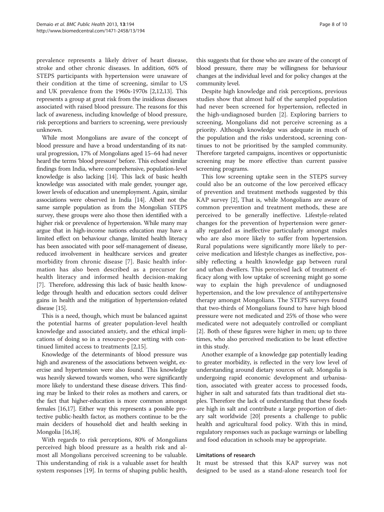prevalence represents a likely driver of heart disease, stroke and other chronic diseases. In addition, 60% of STEPS participants with hypertension were unaware of their condition at the time of screening, similar to US and UK prevalence from the 1960s-1970s [[2](#page-9-0)[,12,13\]](#page-10-0). This represents a group at great risk from the insidious diseases associated with raised blood pressure. The reasons for this lack of awareness, including knowledge of blood pressure, risk perceptions and barriers to screening, were previously unknown.

While most Mongolians are aware of the concept of blood pressure and have a broad understanding of its natural progression, 17% of Mongolians aged 15–64 had never heard the terms 'blood pressure' before. This echoed similar findings from India, where comprehensive, population-level knowledge is also lacking [[14](#page-10-0)]. This lack of basic health knowledge was associated with male gender, younger age, lower levels of education and unemployment. Again, similar associations were observed in India [\[14](#page-10-0)]. Albeit not the same sample population as from the Mongolian STEPS survey, these groups were also those then identified with a higher risk or prevalence of hypertension. While many may argue that in high-income nations education may have a limited effect on behaviour change, limited health literacy has been associated with poor self-management of disease, reduced involvement in healthcare services and greater morbidity from chronic disease [\[7](#page-9-0)]. Basic health information has also been described as a precursor for health literacy and informed health decision-making [[7\]](#page-9-0). Therefore, addressing this lack of basic health knowledge through health and education sectors could deliver gains in health and the mitigation of hypertension-related disease [[15](#page-10-0)].

This is a need, though, which must be balanced against the potential harms of greater population-level health knowledge and associated anxiety, and the ethical implications of doing so in a resource-poor setting with continued limited access to treatments [[2](#page-9-0),[15](#page-10-0)].

Knowledge of the determinants of blood pressure was high and awareness of the associations between weight, exercise and hypertension were also found. This knowledge was heavily skewed towards women, who were significantly more likely to understand these disease drivers. This finding may be linked to their roles as mothers and carers, or the fact that higher-education is more common amongst females [[16,17\]](#page-10-0). Either way this represents a possible protective public-health factor, as mothers continue to be the main deciders of household diet and health seeking in Mongolia [[16,18\]](#page-10-0).

With regards to risk perceptions, 80% of Mongolians perceived high blood pressure as a health risk and almost all Mongolians perceived screening to be valuable. This understanding of risk is a valuable asset for health system responses [\[19](#page-10-0)]. In terms of shaping public health,

this suggests that for those who are aware of the concept of blood pressure, there may be willingness for behaviour changes at the individual level and for policy changes at the community level.

Despite high knowledge and risk perceptions, previous studies show that almost half of the sampled population had never been screened for hypertension, reflected in the high-undiagnosed burden [\[2\]](#page-9-0). Exploring barriers to screening, Mongolians did not perceive screening as a priority. Although knowledge was adequate in much of the population and the risks understood, screening continues to not be prioritised by the sampled community. Therefore targeted campaigns, incentives or opportunistic screening may be more effective than current passive screening programs.

This low screening uptake seen in the STEPS survey could also be an outcome of the low perceived efficacy of prevention and treatment methods suggested by this KAP survey [[2\]](#page-9-0), That is, while Mongolians are aware of common prevention and treatment methods, these are perceived to be generally ineffective. Lifestyle-related changes for the prevention of hypertension were generally regarded as ineffective particularly amongst males who are also more likely to suffer from hypertension. Rural populations were significantly more likely to perceive medication and lifestyle changes as ineffective, possibly reflecting a health knowledge gap between rural and urban dwellers. This perceived lack of treatment efficacy along with low uptake of screening might go some way to explain the high prevalence of undiagnosed hypertension, and the low prevalence of antihypertensive therapy amongst Mongolians. The STEPS surveys found that two-thirds of Mongolians found to have high blood pressure were not medicated and 25% of those who were medicated were not adequately controlled or compliant [[2\]](#page-9-0). Both of these figures were higher in men; up to three times, who also perceived medication to be least effective in this study.

Another example of a knowledge gap potentially leading to greater morbidity, is reflected in the very low level of understanding around dietary sources of salt. Mongolia is undergoing rapid economic development and urbanisation, associated with greater access to processed foods, higher in salt and saturated fats than traditional diet staples. Therefore the lack of understanding that these foods are high in salt and contribute a large proportion of dietary salt worldwide [\[20\]](#page-10-0) presents a challenge to public health and agricultural food policy. With this in mind, regulatory responses such as package warnings or labelling and food education in schools may be appropriate.

#### Limitations of research

It must be stressed that this KAP survey was not designed to be used as a stand-alone research tool for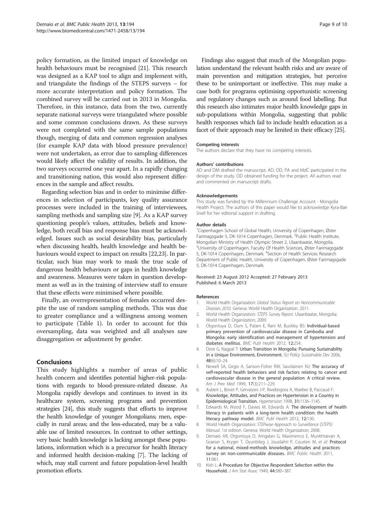<span id="page-9-0"></span>policy formation, as the limited impact of knowledge on health behaviours must be recognised [[21](#page-10-0)]. This research was designed as a KAP tool to align and implement with, and triangulate the findings of the STEPS surveys – for more accurate interpretation and policy formation. The combined survey will be carried out in 2013 in Mongolia. Therefore, in this instance, data from the two, currently separate national surveys were triangulated where possible and some common conclusions drawn. As these surveys were not completed with the same sample populations though, merging of data and common regression analyses (for example KAP data with blood pressure prevalence) were not undertaken, as error due to sampling differences would likely affect the validity of results. In addition, the two surveys occurred one year apart. In a rapidly changing and transitioning nation, this would also represent differences in the sample and affect results.

Regarding selection bias and in order to minimise differences in selection of participants, key quality assurance processes were included in the training of interviewees, sampling methods and sampling size [9]. As a KAP survey questioning people's values, attitudes, beliefs and knowledge, both recall bias and response bias must be acknowledged. Issues such as social desirability bias, particularly when discussing health, health knowledge and health behaviours would expect to impact on results [\[22,23](#page-10-0)]. In particular, such bias may work to mask the true scale of dangerous health behaviours or gaps in health knowledge and awareness. Measures were taken in question development as well as in the training of interview staff to ensure that these effects were minimised where possible.

Finally, an overrepresentation of females occurred despite the use of random sampling methods. This was due to greater compliance and a willingness among women to participate (Table [1\)](#page-4-0). In order to account for this oversampling, data was weighted and all analyses saw disaggregation or adjustment by gender.

## Conclusions

This study highlights a number of areas of public health concern and identifies potential higher-risk populations with regards to blood-pressure-related disease. As Mongolia rapidly develops and continues to invest in its healthcare system, screening programs and prevention strategies [\[24](#page-10-0)], this study suggests that efforts to improve the health knowledge of younger Mongolians; men, especially in rural areas; and the less-educated, may be a valuable use of limited resources. In contrast to other settings, very basic health knowledge is lacking amongst these populations, information which is a precursor for health literacy and informed health decision-making [7]. The lacking of which, may stall current and future population-level health promotion efforts.

Findings also suggest that much of the Mongolian population understand the relevant health risks and are aware of main prevention and mitigation strategies, but perceive these to be unimportant or ineffective. This may make a case both for programs optimising opportunistic screening and regulatory changes such as around food labelling. But this research also intimates major health knowledge gaps in sub-populations within Mongolia, suggesting that public health responses which fail to include health education as a facet of their approach may be limited in their efficacy [[25](#page-10-0)].

#### Competing interests

The authors declare that they have no competing interests.

#### Authors' contributions

AD and DM drafted the manuscript. AD, OD, PA and MdC participated in the design of the study. OD obtained funding for the project. All authors read and commented on manuscript drafts.

#### Acknowledgements

This study was funded by the Millennium Challenge Account - Mongolia Health Project. The authors of this paper would like to acknowledge Kyra-Bae Snell for her editorial support in drafting.

#### Author details

1 Copenhagen School of Global Health, University of Copenhagen, Øster Farimagsgade 5, DK-1014 Copenhagen, Denmark. <sup>2</sup>Public Health Institute, Mongolian Ministry of Health Olympic Street 2, Ulaanbaatar, Mongolia. <sup>3</sup>University of Copenhagen, Faculty Of Health Sciences, Øster Farimagsgade 5, DK-1014 Copenhagen, Denmark. <sup>4</sup>Section of Health Services Research Department of Public Health, University of Copenhagen, Øster Farimagsgade 5, DK-1014 Copenhagen, Denmark.

#### Received: 23 August 2012 Accepted: 27 February 2013 Published: 6 March 2013

#### References

- 1. World Health Organization: Global Status Report on Noncommunicable Diseases 2010. Geneva: World Health Organization; 2011.
- 2. World Health Organization: STEPS Survey Report. Ulaanbaatar, Mongolia: World Health Organization; 2009.
- 3. Otgontuya D, Oum S, Palam E, Rani M, Buckley BS: Individual-based primary prevention of cardiovascular disease in Cambodia and Mongolia: early identification and management of hypertension and diabetes mellitus. BMC Publ Health 2012, 12:254.
- 4. Dore G, Nagpal T: Urban Transition in Mongolia: Pursuing Sustainability in a Unique Environment, Environment. Sci Policy Sustainable Dev 2006, 48(6):10–24.
- 5. Newell SA, Girgis A, Sanson-Fisher RW, Savolainen NJ: The accuracy of self-reported health behaviors and risk factors relating to cancer and cardiovascular disease in the general population: A critical review. Am J Prev Med 1999, 17(3):211–229.
- 6. Aubert L, Bovet P, Gervasoni J-P, Rwebogora A, Waeber B, Paccaud F: Knowledge, Attitudes, and Practices on Hypertension in a Country in Epidemiological Transition. Hypertension 1998, 31:1136–1145.
- 7. Edwards M, Wood F, Davies M, Edwards A: The development of health literacy in patients with a long-term health condition: the health literacy pathway model. BMC Publ Health 2012, 12:130.
- World Health Organization: STEPwise Approach to Surveillance (STEPS) Manual. 1st edition. Geneva: World Health Organization; 2008.
- 9. Demaio AR, Otgontuya D, Amgalan G, Maximenco E, Munkhtaivan A, Graeser S, Kryger T, Oyunbileg J, Jousilahti P, Courten M, et al: Protocol for a national, mixed-methods knowledge, attitudes and practices survey on non-communicable diseases. BMC Public Health 2011, 11:961.
- 10. Kish L: A Procedure for Objective Respondent Selection within the Household. J Am Stat Assoc 1949, 44:380–387.